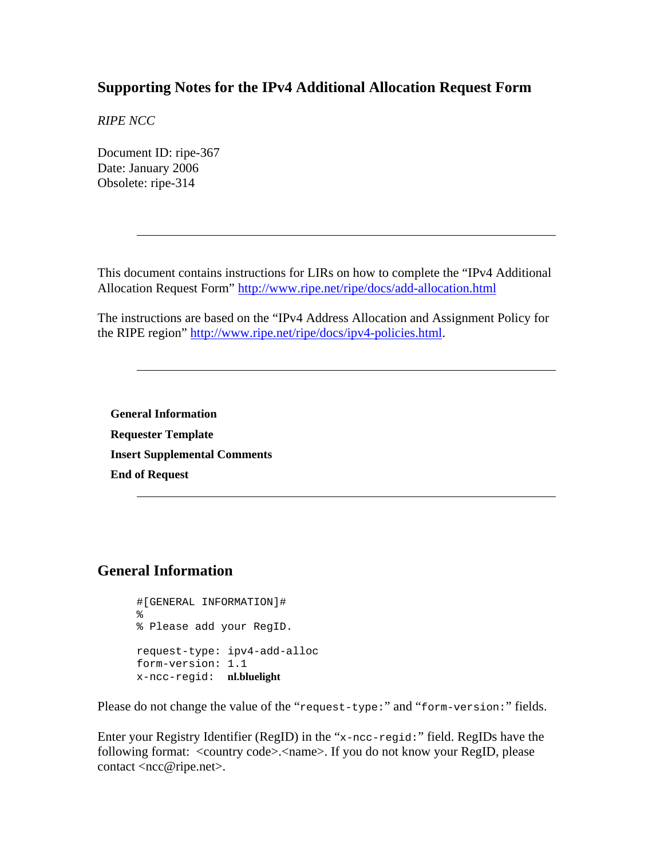### <span id="page-0-0"></span>**Supporting Notes for the IPv4 Additional Allocation Request Form**

*RIPE NCC* 

Document ID: ripe-367 Date: January 2006 Obsolete: ripe-314

This document contains instructions for LIRs on how to complete the "IPv4 Additional Allocation Request Form" <http://www.ripe.net/ripe/docs/add-allocation.html>

The instructions are based on the "IPv4 Address Allocation and Assignment Policy for the RIPE region" [http://www.ripe.net/ripe/docs/ipv4-policies.html.](http://www.ripe.net/ripe/docs/ipv4-policies.html)

**[General Information](#page-0-0) [Requester Template](#page-1-0) [Insert Supplemental Comments](#page-1-0) [End of Request](#page-1-0)**

### **General Information**

```
#[GENERAL INFORMATION]# 
\,% Please add your RegID. 
request-type: ipv4-add-alloc 
form-version: 1.1 
x-ncc-regid: nl.bluelight
```
Please do not change the value of the "request-type:" and "form-version:" fields.

Enter your Registry Identifier (RegID) in the "x-ncc-regid:" field. RegIDs have the following format: <country code>.<name>. If you do not know your RegID, please contact <ncc@ripe.net>.